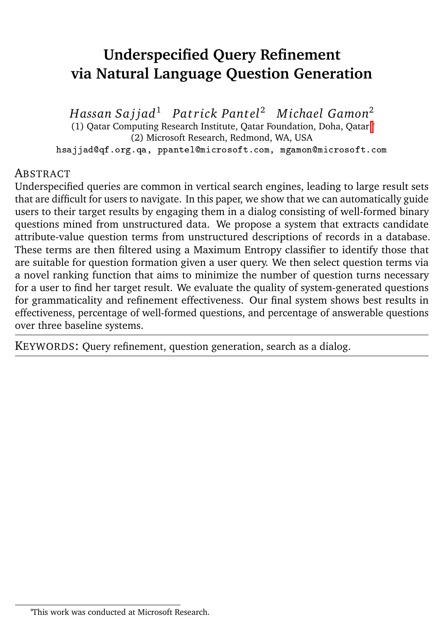# **Underspecified Query Refinement via Natural Language Question Generation**

*Hassan Sa j jad*<sup>1</sup> *Pa t rick Pantel*<sup>2</sup> *Michael Gamon*<sup>2</sup> (1) Qatar Computing Research Institute, Qatar Foundation, Doha, Qatar [∗](#page-0-0) (2) Microsoft Research, Redmond, WA, USA hsajjad@qf.org.qa, ppantel@microsoft.com, mgamon@microsoft.com

#### **ABSTRACT**

Underspecified queries are common in vertical search engines, leading to large result sets that are difficult for users to navigate. In this paper, we show that we can automatically guide users to their target results by engaging them in a dialog consisting of well-formed binary questions mined from unstructured data. We propose a system that extracts candidate attribute-value question terms from unstructured descriptions of records in a database. These terms are then filtered using a Maximum Entropy classifier to identify those that are suitable for question formation given a user query. We then select question terms via a novel ranking function that aims to minimize the number of question turns necessary for a user to find her target result. We evaluate the quality of system-generated questions for grammaticality and refinement effectiveness. Our final system shows best results in effectiveness, percentage of well-formed questions, and percentage of answerable questions over three baseline systems.

KEYWORDS: Query refinement, question generation, search as a dialog.

<span id="page-0-0"></span><sup>∗</sup>This work was conducted at Microsoft Research.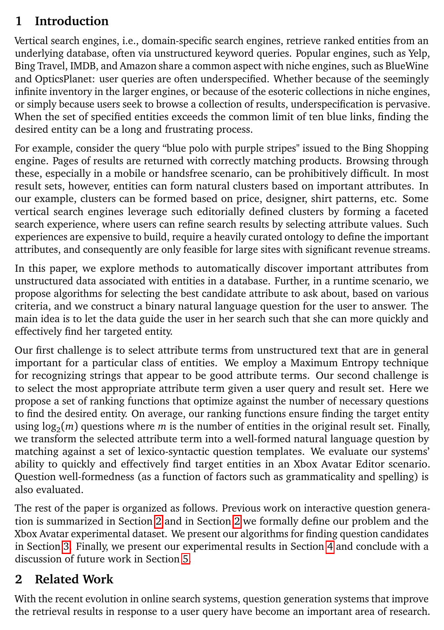## <span id="page-1-1"></span>**1 Introduction**

Vertical search engines, i.e., domain-specific search engines, retrieve ranked entities from an underlying database, often via unstructured keyword queries. Popular engines, such as Yelp, Bing Travel, IMDB, and Amazon share a common aspect with niche engines, such as BlueWine and OpticsPlanet: user queries are often underspecified. Whether because of the seemingly infinite inventory in the larger engines, or because of the esoteric collections in niche engines, or simply because users seek to browse a collection of results, underspecification is pervasive. When the set of specified entities exceeds the common limit of ten blue links, finding the desired entity can be a long and frustrating process.

For example, consider the query "blue polo with purple stripes" issued to the Bing Shopping engine. Pages of results are returned with correctly matching products. Browsing through these, especially in a mobile or handsfree scenario, can be prohibitively difficult. In most result sets, however, entities can form natural clusters based on important attributes. In our example, clusters can be formed based on price, designer, shirt patterns, etc. Some vertical search engines leverage such editorially defined clusters by forming a faceted search experience, where users can refine search results by selecting attribute values. Such experiences are expensive to build, require a heavily curated ontology to define the important attributes, and consequently are only feasible for large sites with significant revenue streams.

In this paper, we explore methods to automatically discover important attributes from unstructured data associated with entities in a database. Further, in a runtime scenario, we propose algorithms for selecting the best candidate attribute to ask about, based on various criteria, and we construct a binary natural language question for the user to answer. The main idea is to let the data guide the user in her search such that she can more quickly and effectively find her targeted entity.

Our first challenge is to select attribute terms from unstructured text that are in general important for a particular class of entities. We employ a Maximum Entropy technique for recognizing strings that appear to be good attribute terms. Our second challenge is to select the most appropriate attribute term given a user query and result set. Here we propose a set of ranking functions that optimize against the number of necessary questions to find the desired entity. On average, our ranking functions ensure finding the target entity using log<sup>2</sup> (*m*) questions where *m* is the number of entities in the original result set. Finally, we transform the selected attribute term into a well-formed natural language question by matching against a set of lexico-syntactic question templates. We evaluate our systems' ability to quickly and effectively find target entities in an Xbox Avatar Editor scenario. Question well-formedness (as a function of factors such as grammaticality and spelling) is also evaluated.

The rest of the paper is organized as follows. Previous work on interactive question generation is summarized in Section [2](#page-1-0) and in Section [2](#page-1-0) we formally define our problem and the Xbox Avatar experimental dataset. We present our algorithms for finding question candidates in Section [3.](#page-6-0) Finally, we present our experimental results in Section [4](#page-10-0) and conclude with a discussion of future work in Section [5.](#page-13-0)

## <span id="page-1-0"></span>**2 Related Work**

With the recent evolution in online search systems, question generation systems that improve the retrieval results in response to a user query have become an important area of research.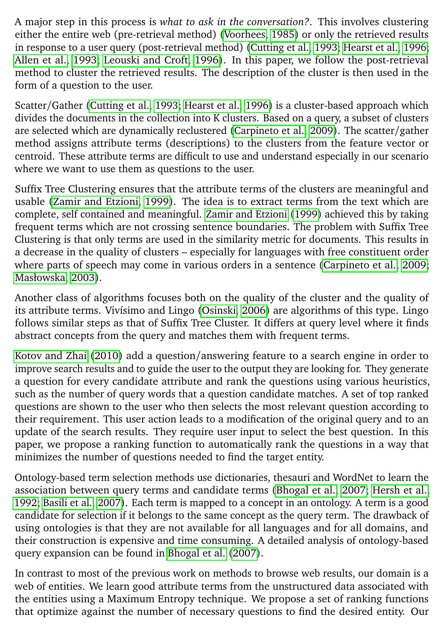A major step in this process is *what to ask in the conversation?*. This involves clustering either the entire web (pre-retrieval method) [\(Voorhees, 1985\)](#page-14-0) or only the retrieved results in response to a user query (post-retrieval method) [\(Cutting et al., 1993;](#page-14-1) [Hearst et al., 1996;](#page-14-2) [Allen et al., 1993;](#page-14-3) [Leouski and Croft, 1996\)](#page-14-4). In this paper, we follow the post-retrieval method to cluster the retrieved results. The description of the cluster is then used in the form of a question to the user.

Scatter/Gather [\(Cutting et al., 1993;](#page-14-1) [Hearst et al., 1996\)](#page-14-2) is a cluster-based approach which divides the documents in the collection into K clusters. Based on a query, a subset of clusters are selected which are dynamically reclustered [\(Carpineto et al., 2009\)](#page-14-5). The scatter/gather method assigns attribute terms (descriptions) to the clusters from the feature vector or centroid. These attribute terms are difficult to use and understand especially in our scenario where we want to use them as questions to the user.

Suffix Tree Clustering ensures that the attribute terms of the clusters are meaningful and usable [\(Zamir and Etzioni, 1999\)](#page-14-6). The idea is to extract terms from the text which are complete, self contained and meaningful. [Zamir and Etzioni](#page-14-6) [\(1999\)](#page-14-6) achieved this by taking frequent terms which are not crossing sentence boundaries. The problem with Suffix Tree Clustering is that only terms are used in the similarity metric for documents. This results in a decrease in the quality of clusters – especially for languages with free constituent order where parts of speech may come in various orders in a sentence [\(Carpineto et al., 2009;](#page-14-5) [Masłowska, 2003\)](#page-14-7).

Another class of algorithms focuses both on the quality of the cluster and the quality of its attribute terms. Vivísimo and Lingo [\(Osinski, 2006\)](#page-14-8) are algorithms of this type. Lingo follows similar steps as that of Suffix Tree Cluster. It differs at query level where it finds abstract concepts from the query and matches them with frequent terms.

[Kotov and Zhai](#page-14-9) [\(2010\)](#page-14-9) add a question/answering feature to a search engine in order to improve search results and to guide the user to the output they are looking for. They generate a question for every candidate attribute and rank the questions using various heuristics, such as the number of query words that a question candidate matches. A set of top ranked questions are shown to the user who then selects the most relevant question according to their requirement. This user action leads to a modification of the original query and to an update of the search results. They require user input to select the best question. In this paper, we propose a ranking function to automatically rank the questions in a way that minimizes the number of questions needed to find the target entity.

Ontology-based term selection methods use dictionaries, thesauri and WordNet to learn the association between query terms and candidate terms [\(Bhogal et al., 2007;](#page-14-10) [Hersh et al.,](#page-14-11) [1992;](#page-14-11) [Basili et al., 2007\)](#page-14-12). Each term is mapped to a concept in an ontology. A term is a good candidate for selection if it belongs to the same concept as the query term. The drawback of using ontologies is that they are not available for all languages and for all domains, and their construction is expensive and time consuming. A detailed analysis of ontology-based query expansion can be found in [Bhogal et al.](#page-14-10) [\(2007\)](#page-14-10).

In contrast to most of the previous work on methods to browse web results, our domain is a web of entities. We learn good attribute terms from the unstructured data associated with the entities using a Maximum Entropy technique. We propose a set of ranking functions that optimize against the number of necessary questions to find the desired entity. Our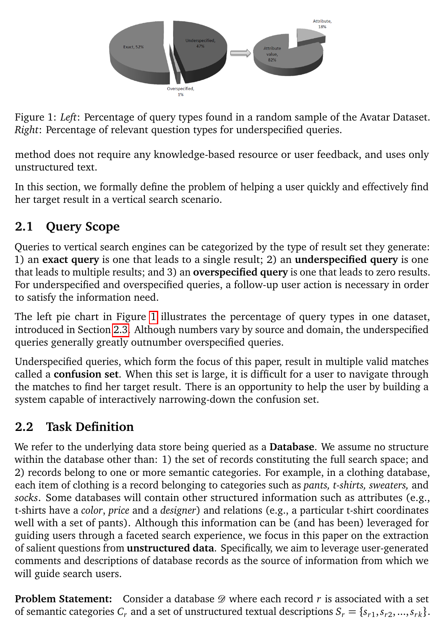<span id="page-3-0"></span>

Figure 1: *Left*: Percentage of query types found in a random sample of the Avatar Dataset. *Right*: Percentage of relevant question types for underspecified queries.

method does not require any knowledge-based resource or user feedback, and uses only unstructured text.

In this section, we formally define the problem of helping a user quickly and effectively find her target result in a vertical search scenario.

## **2.1 Query Scope**

Queries to vertical search engines can be categorized by the type of result set they generate: 1) an **exact query** is one that leads to a single result; 2) an **underspecified query** is one that leads to multiple results; and 3) an **overspecified query** is one that leads to zero results. For underspecified and overspecified queries, a follow-up user action is necessary in order to satisfy the information need.

The left pie chart in Figure [1](#page-3-0) illustrates the percentage of query types in one dataset, introduced in Section [2.3.](#page-4-0) Although numbers vary by source and domain, the underspecified queries generally greatly outnumber overspecified queries.

Underspecified queries, which form the focus of this paper, result in multiple valid matches called a **confusion set**. When this set is large, it is difficult for a user to navigate through the matches to find her target result. There is an opportunity to help the user by building a system capable of interactively narrowing-down the confusion set.

# <span id="page-3-1"></span>**2.2 Task Definition**

We refer to the underlying data store being queried as a **Database**. We assume no structure within the database other than: 1) the set of records constituting the full search space; and 2) records belong to one or more semantic categories. For example, in a clothing database, each item of clothing is a record belonging to categories such as *pants, t-shirts, sweaters,* and *socks*. Some databases will contain other structured information such as attributes (e.g., t-shirts have a *color*, *price* and a *designer*) and relations (e.g., a particular t-shirt coordinates well with a set of pants). Although this information can be (and has been) leveraged for guiding users through a faceted search experience, we focus in this paper on the extraction of salient questions from **unstructured data**. Specifically, we aim to leverage user-generated comments and descriptions of database records as the source of information from which we will guide search users.

**Problem Statement:** Consider a database  $\mathscr{D}$  where each record  $r$  is associated with a set of semantic categories  $C_r$  and a set of unstructured textual descriptions  $S_r = \{s_{r1}, s_{r2}, ..., s_{rk}\}.$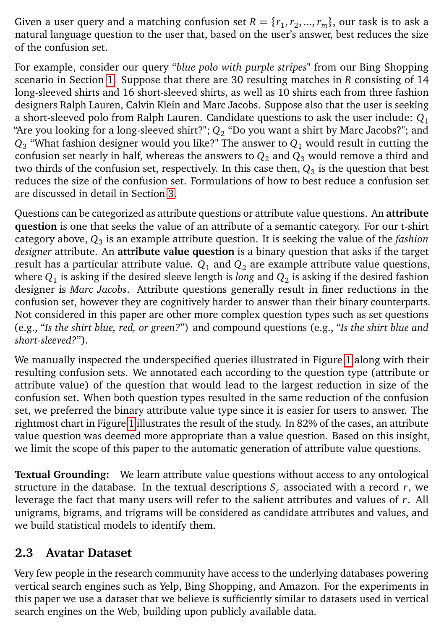Given a user query and a matching confusion set  $R = \{r_1, r_2, ..., r_m\}$ , our task is to ask a natural language question to the user that, based on the user's answer, best reduces the size of the confusion set.

For example, consider our query "*blue polo with purple stripes*" from our Bing Shopping scenario in Section [1.](#page-1-1) Suppose that there are 30 resulting matches in *R* consisting of 14 long-sleeved shirts and 16 short-sleeved shirts, as well as 10 shirts each from three fashion designers Ralph Lauren, Calvin Klein and Marc Jacobs. Suppose also that the user is seeking a short-sleeved polo from Ralph Lauren. Candidate questions to ask the user include: *Q*<sup>1</sup> "Are you looking for a long-sleeved shirt?"; *Q*<sup>2</sup> "Do you want a shirt by Marc Jacobs?"; and  $Q_3$  "What fashion designer would you like?" The answer to  $Q_1$  would result in cutting the confusion set nearly in half, whereas the answers to  $Q_2$  and  $Q_3$  would remove a third and two thirds of the confusion set, respectively. In this case then,  $\mathit{Q}_{3}$  is the question that best reduces the size of the confusion set. Formulations of how to best reduce a confusion set are discussed in detail in Section [3.](#page-6-0)

Questions can be categorized as attribute questions or attribute value questions. An **attribute question** is one that seeks the value of an attribute of a semantic category. For our t-shirt category above, *Q*<sup>3</sup> is an example attribute question. It is seeking the value of the *fashion designer* attribute. An **attribute value question** is a binary question that asks if the target result has a particular attribute value.  $Q_1$  and  $Q_2$  are example attribute value questions, where  $Q_1$  is asking if the desired sleeve length is *long* and  $Q_2$  is asking if the desired fashion designer is *Marc Jacobs*. Attribute questions generally result in finer reductions in the confusion set, however they are cognitively harder to answer than their binary counterparts. Not considered in this paper are other more complex question types such as set questions (e.g., "*Is the shirt blue, red, or green?*") and compound questions (e.g., "*Is the shirt blue and short-sleeved?*").

We manually inspected the underspecified queries illustrated in Figure [1](#page-3-0) along with their resulting confusion sets. We annotated each according to the question type (attribute or attribute value) of the question that would lead to the largest reduction in size of the confusion set. When both question types resulted in the same reduction of the confusion set, we preferred the binary attribute value type since it is easier for users to answer. The rightmost chart in Figure [1](#page-3-0) illustrates the result of the study. In 82% of the cases, an attribute value question was deemed more appropriate than a value question. Based on this insight, we limit the scope of this paper to the automatic generation of attribute value questions.

**Textual Grounding:** We learn attribute value questions without access to any ontological structure in the database. In the textual descriptions *S<sup>r</sup>* associated with a record *r*, we leverage the fact that many users will refer to the salient attributes and values of *r*. All unigrams, bigrams, and trigrams will be considered as candidate attributes and values, and we build statistical models to identify them.

#### <span id="page-4-0"></span>**2.3 Avatar Dataset**

Very few people in the research community have access to the underlying databases powering vertical search engines such as Yelp, Bing Shopping, and Amazon. For the experiments in this paper we use a dataset that we believe is sufficiently similar to datasets used in vertical search engines on the Web, building upon publicly available data.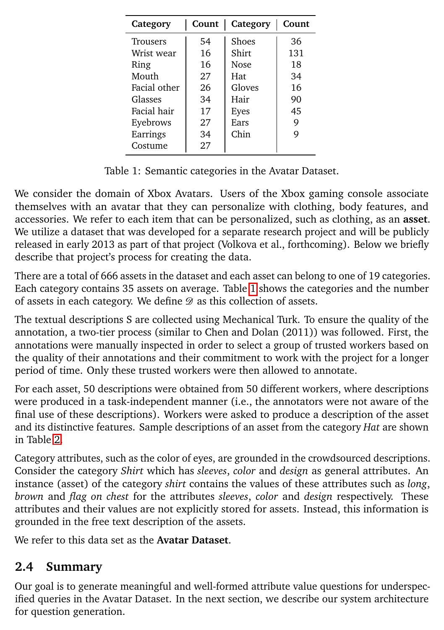<span id="page-5-0"></span>

| Category        | Count | Category    | Count |
|-----------------|-------|-------------|-------|
| <b>Trousers</b> | 54    | Shoes       | 36    |
| Wrist wear      | 16    | Shirt       | 131   |
| Ring            | 16    | <b>Nose</b> | 18    |
| Mouth           | 27    | Hat         | 34    |
| Facial other    | 26    | Gloves      | 16    |
| Glasses         | 34    | Hair        | 90    |
| Facial hair     | 17    | Eyes        | 45    |
| Eyebrows        | 27    | Ears        | 9     |
| Earrings        | 34    | Chin        | 9     |
| Costume         | 27    |             |       |

Table 1: Semantic categories in the Avatar Dataset.

We consider the domain of Xbox Avatars. Users of the Xbox gaming console associate themselves with an avatar that they can personalize with clothing, body features, and accessories. We refer to each item that can be personalized, such as clothing, as an **asset**. We utilize a dataset that was developed for a separate research project and will be publicly released in early 2013 as part of that project (Volkova et al., forthcoming). Below we briefly describe that project's process for creating the data.

There are a total of 666 assets in the dataset and each asset can belong to one of 19 categories. Each category contains 35 assets on average. Table [1](#page-5-0) shows the categories and the number of assets in each category. We define  $\mathscr D$  as this collection of assets.

The textual descriptions S are collected using Mechanical Turk. To ensure the quality of the annotation, a two-tier process (similar to Chen and Dolan (2011)) was followed. First, the annotations were manually inspected in order to select a group of trusted workers based on the quality of their annotations and their commitment to work with the project for a longer period of time. Only these trusted workers were then allowed to annotate.

For each asset, 50 descriptions were obtained from 50 different workers, where descriptions were produced in a task-independent manner (i.e., the annotators were not aware of the final use of these descriptions). Workers were asked to produce a description of the asset and its distinctive features. Sample descriptions of an asset from the category *Hat* are shown in Table [2.](#page-6-1)

Category attributes, such as the color of eyes, are grounded in the crowdsourced descriptions. Consider the category *Shirt* which has *sleeves*, *color* and *design* as general attributes. An instance (asset) of the category *shirt* contains the values of these attributes such as *long*, *brown* and *flag on chest* for the attributes *sleeves*, *color* and *design* respectively. These attributes and their values are not explicitly stored for assets. Instead, this information is grounded in the free text description of the assets.

We refer to this data set as the **Avatar Dataset**.

# **2.4 Summary**

Our goal is to generate meaningful and well-formed attribute value questions for underspecified queries in the Avatar Dataset. In the next section, we describe our system architecture for question generation.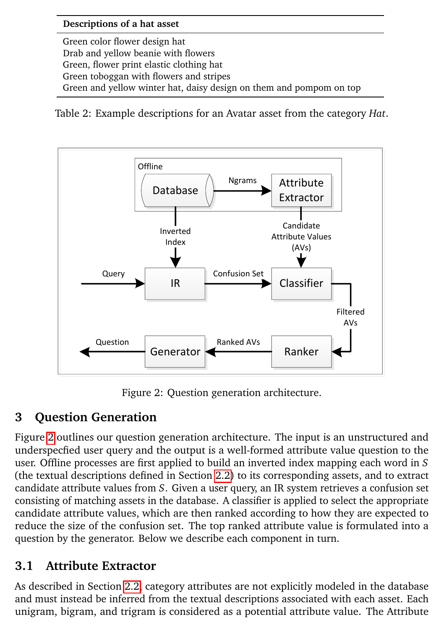#### **Descriptions of a hat asset**

<span id="page-6-1"></span>Green color flower design hat Drab and yellow beanie with flowers Green, flower print elastic clothing hat Green toboggan with flowers and stripes Green and yellow winter hat, daisy design on them and pompom on top

Table 2: Example descriptions for an Avatar asset from the category *Hat*.



Figure 2: Question generation architecture.

### <span id="page-6-2"></span><span id="page-6-0"></span>**3 Question Generation**

Figure [2](#page-6-2) outlines our question generation architecture. The input is an unstructured and underspecfied user query and the output is a well-formed attribute value question to the user. Offline processes are first applied to build an inverted index mapping each word in *S* (the textual descriptions defined in Section [2.2\)](#page-3-1) to its corresponding assets, and to extract candidate attribute values from *S*. Given a user query, an IR system retrieves a confusion set consisting of matching assets in the database. A classifier is applied to select the appropriate candidate attribute values, which are then ranked according to how they are expected to reduce the size of the confusion set. The top ranked attribute value is formulated into a question by the generator. Below we describe each component in turn.

### <span id="page-6-3"></span>**3.1 Attribute Extractor**

As described in Section [2.2,](#page-3-1) category attributes are not explicitly modeled in the database and must instead be inferred from the textual descriptions associated with each asset. Each unigram, bigram, and trigram is considered as a potential attribute value. The Attribute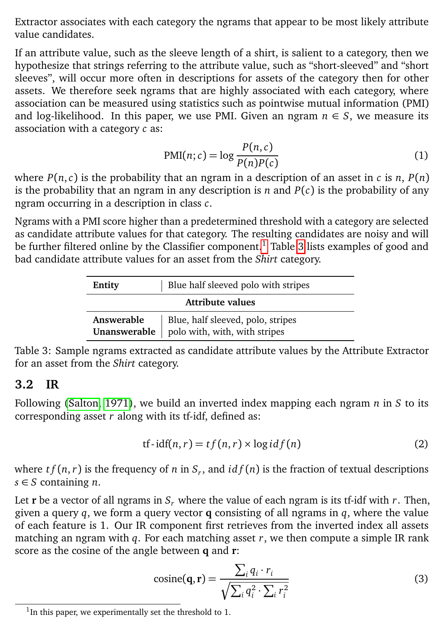Extractor associates with each category the ngrams that appear to be most likely attribute value candidates.

If an attribute value, such as the sleeve length of a shirt, is salient to a category, then we hypothesize that strings referring to the attribute value, such as "short-sleeved" and "short sleeves", will occur more often in descriptions for assets of the category then for other assets. We therefore seek ngrams that are highly associated with each category, where association can be measured using statistics such as pointwise mutual information (PMI) and log-likelihood. In this paper, we use PMI. Given an ngram  $n \in S$ , we measure its association with a category *c* as:

<span id="page-7-1"></span>
$$
PMI(n; c) = \log \frac{P(n, c)}{P(n)P(c)}
$$
\n(1)

where  $P(n, c)$  is the probability that an ngram in a description of an asset in *c* is *n*,  $P(n)$ is the probability that an ngram in any description is *n* and  $P(c)$  is the probability of any ngram occurring in a description in class *c*.

Ngrams with a PMI score higher than a predetermined threshold with a category are selected as candidate attribute values for that category. The resulting candidates are noisy and will be further filtered online by the Classifier component.<sup>[1](#page-7-0)</sup> Table [3](#page-7-1) lists examples of good and bad candidate attribute values for an asset from the *Shirt* category.

| Entity                     | Blue half sleeved polo with stripes                                |  |  |
|----------------------------|--------------------------------------------------------------------|--|--|
| Attribute values           |                                                                    |  |  |
| Answerable<br>Unanswerable | Blue, half sleeved, polo, stripes<br>polo with, with, with stripes |  |  |

Table 3: Sample ngrams extracted as candidate attribute values by the Attribute Extractor for an asset from the *Shirt* category.

#### <span id="page-7-2"></span>**3.2 IR**

Following [\(Salton, 1971\)](#page-14-13), we build an inverted index mapping each ngram *n* in *S* to its corresponding asset *r* along with its tf-idf, defined as:

$$
tf-idf(n,r) = tf(n,r) \times \log idf(n)
$$
 (2)

where *t f* (*n*,*r*) is the frequency of *n* in *S<sup>r</sup>* , and *id f* (*n*) is the fraction of textual descriptions *s* ∈ *S* containing *n*.

Let **r** be a vector of all ngrams in  $S_r$  where the value of each ngram is its tf-idf with  $r$ . Then, given a query *q*, we form a query vector **q** consisting of all ngrams in *q*, where the value of each feature is 1. Our IR component first retrieves from the inverted index all assets matching an ngram with *q*. For each matching asset *r*, we then compute a simple IR rank score as the cosine of the angle between **q** and **r**:

$$
cosine(\mathbf{q}, \mathbf{r}) = \frac{\sum_{i} q_i \cdot r_i}{\sqrt{\sum_{i} q_i^2 \cdot \sum_{i} r_i^2}}
$$
(3)

<span id="page-7-0"></span><sup>&</sup>lt;sup>1</sup>In this paper, we experimentally set the threshold to 1.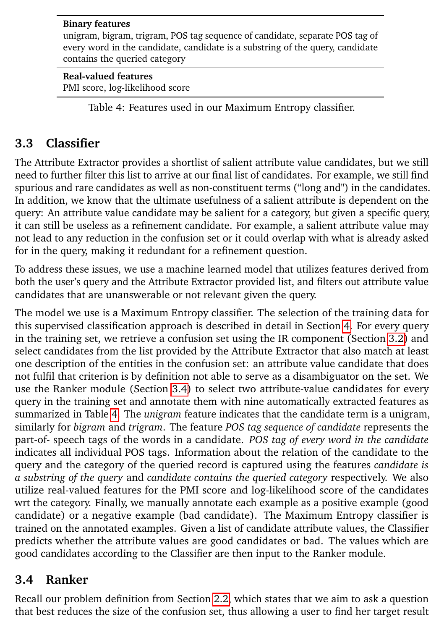#### **Binary features**

unigram, bigram, trigram, POS tag sequence of candidate, separate POS tag of every word in the candidate, candidate is a substring of the query, candidate contains the queried category

#### **Real-valued features**

PMI score, log-likelihood score

<span id="page-8-1"></span>Table 4: Features used in our Maximum Entropy classifier.

### <span id="page-8-2"></span>**3.3 Classifier**

The Attribute Extractor provides a shortlist of salient attribute value candidates, but we still need to further filter this list to arrive at our final list of candidates. For example, we still find spurious and rare candidates as well as non-constituent terms ("long and") in the candidates. In addition, we know that the ultimate usefulness of a salient attribute is dependent on the query: An attribute value candidate may be salient for a category, but given a specific query, it can still be useless as a refinement candidate. For example, a salient attribute value may not lead to any reduction in the confusion set or it could overlap with what is already asked for in the query, making it redundant for a refinement question.

To address these issues, we use a machine learned model that utilizes features derived from both the user's query and the Attribute Extractor provided list, and filters out attribute value candidates that are unanswerable or not relevant given the query.

The model we use is a Maximum Entropy classifier. The selection of the training data for this supervised classification approach is described in detail in Section [4.](#page-10-0) For every query in the training set, we retrieve a confusion set using the IR component (Section [3.2\)](#page-7-2) and select candidates from the list provided by the Attribute Extractor that also match at least one description of the entities in the confusion set: an attribute value candidate that does not fulfil that criterion is by definition not able to serve as a disambiguator on the set. We use the Ranker module (Section [3.4\)](#page-8-0) to select two attribute-value candidates for every query in the training set and annotate them with nine automatically extracted features as summarized in Table [4.](#page-8-1) The *unigram* feature indicates that the candidate term is a unigram, similarly for *bigram* and *trigram*. The feature *POS tag sequence of candidate* represents the part-of- speech tags of the words in a candidate. *POS tag of every word in the candidate* indicates all individual POS tags. Information about the relation of the candidate to the query and the category of the queried record is captured using the features *candidate is a substring of the query* and *candidate contains the queried category* respectively. We also utilize real-valued features for the PMI score and log-likelihood score of the candidates wrt the category. Finally, we manually annotate each example as a positive example (good candidate) or a negative example (bad candidate). The Maximum Entropy classifier is trained on the annotated examples. Given a list of candidate attribute values, the Classifier predicts whether the attribute values are good candidates or bad. The values which are good candidates according to the Classifier are then input to the Ranker module.

### <span id="page-8-0"></span>**3.4 Ranker**

Recall our problem definition from Section [2.2,](#page-3-1) which states that we aim to ask a question that best reduces the size of the confusion set, thus allowing a user to find her target result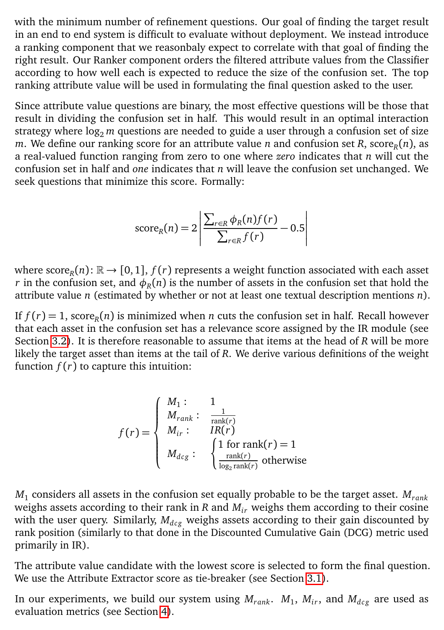with the minimum number of refinement questions. Our goal of finding the target result in an end to end system is difficult to evaluate without deployment. We instead introduce a ranking component that we reasonbaly expect to correlate with that goal of finding the right result. Our Ranker component orders the filtered attribute values from the Classifier according to how well each is expected to reduce the size of the confusion set. The top ranking attribute value will be used in formulating the final question asked to the user.

Since attribute value questions are binary, the most effective questions will be those that result in dividing the confusion set in half. This would result in an optimal interaction strategy where log<sub>2</sub> *m* questions are needed to guide a user through a confusion set of size  $m.$  We define our ranking score for an attribute value  $n$  and confusion set  $R$ , score $_R(n),$  as a real-valued function ranging from zero to one where *zero* indicates that *n* will cut the confusion set in half and *one* indicates that *n* will leave the confusion set unchanged. We seek questions that minimize this score. Formally:

score<sub>R</sub>(n) = 
$$
2 \left| \frac{\sum_{r \in R} \phi_R(n) f(r)}{\sum_{r \in R} f(r)} - 0.5 \right|
$$

where  $\text{score}_R(n)$ :  $\mathbb{R} \to [0,1]$ ,  $f(r)$  represents a weight function associated with each asset  $r$  in the confusion set, and  $\phi_R(n)$  is the number of assets in the confusion set that hold the attribute value *n* (estimated by whether or not at least one textual description mentions *n*).

If  $f(r) = 1$ , score<sub>R</sub>(*n*) is minimized when *n* cuts the confusion set in half. Recall however that each asset in the confusion set has a relevance score assigned by the IR module (see Section [3.2\)](#page-7-2). It is therefore reasonable to assume that items at the head of *R* will be more likely the target asset than items at the tail of *R*. We derive various definitions of the weight function *f* (*r*) to capture this intuition:

$$
f(r) = \begin{cases} M_1: & 1\\ M_{rank}: & \frac{1}{rank(r)}\\ M_{ir}: & IR(r) \\ M_{dcg}: & \begin{cases} 1 \text{ for rank}(r) = 1\\ \frac{rank(r)}{\log_2 rank(r)} \text{ otherwise} \end{cases} \end{cases}
$$

*M*<sup>1</sup> considers all assets in the confusion set equally probable to be the target asset. *Mrank* weighs assets according to their rank in  $R$  and  $M<sub>ir</sub>$  weighs them according to their cosine with the user query. Similarly,  $M_{dec}$  weighs assets according to their gain discounted by rank position (similarly to that done in the Discounted Cumulative Gain (DCG) metric used primarily in IR).

The attribute value candidate with the lowest score is selected to form the final question. We use the Attribute Extractor score as tie-breaker (see Section [3.1\)](#page-6-3).

In our experiments, we build our system using  $M_{rank}$ .  $M_1$ ,  $M_{ir}$ , and  $M_{dcg}$  are used as evaluation metrics (see Section [4\)](#page-10-0).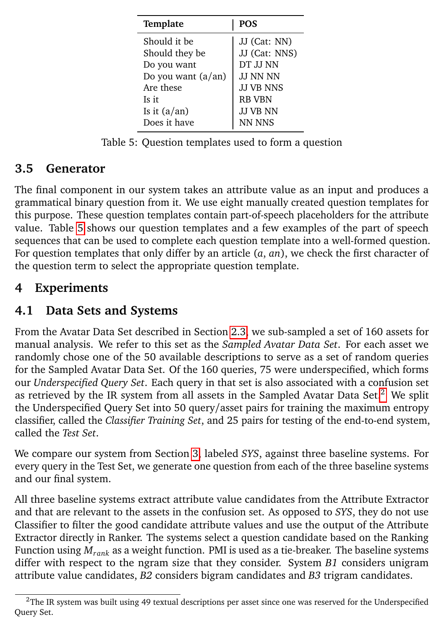<span id="page-10-1"></span>

| Template                    | <b>POS</b>       |  |
|-----------------------------|------------------|--|
| Should it be                | JJ (Cat: NN)     |  |
| Should they be              | JJ (Cat: NNS)    |  |
| Do you want                 | DT JJ NN         |  |
| Do you want $(a/\text{an})$ | <b>JJ NN NN</b>  |  |
| Are these                   | <b>JJ VB NNS</b> |  |
| Is it                       | <b>RB VBN</b>    |  |
| Is it $(a/\text{an})$       | <b>JJ VB NN</b>  |  |
| Does it have                | NN NNS           |  |

Table 5: Question templates used to form a question

### **3.5 Generator**

The final component in our system takes an attribute value as an input and produces a grammatical binary question from it. We use eight manually created question templates for this purpose. These question templates contain part-of-speech placeholders for the attribute value. Table [5](#page-10-1) shows our question templates and a few examples of the part of speech sequences that can be used to complete each question template into a well-formed question. For question templates that only differ by an article (*a*, *an*), we check the first character of the question term to select the appropriate question template.

## <span id="page-10-0"></span>**4 Experiments**

## **4.1 Data Sets and Systems**

From the Avatar Data Set described in Section [2.3,](#page-4-0) we sub-sampled a set of 160 assets for manual analysis. We refer to this set as the *Sampled Avatar Data Set*. For each asset we randomly chose one of the 50 available descriptions to serve as a set of random queries for the Sampled Avatar Data Set. Of the 160 queries, 75 were underspecified, which forms our *Underspecified Query Set*. Each query in that set is also associated with a confusion set as retrieved by the IR system from all assets in the Sampled Avatar Data Set. $<sup>2</sup>$  $<sup>2</sup>$  $<sup>2</sup>$  We split</sup> the Underspecified Query Set into 50 query/asset pairs for training the maximum entropy classifier, called the *Classifier Training Set*, and 25 pairs for testing of the end-to-end system, called the *Test Set*.

We compare our system from Section [3,](#page-6-0) labeled *SYS*, against three baseline systems. For every query in the Test Set, we generate one question from each of the three baseline systems and our final system.

All three baseline systems extract attribute value candidates from the Attribute Extractor and that are relevant to the assets in the confusion set. As opposed to *SYS*, they do not use Classifier to filter the good candidate attribute values and use the output of the Attribute Extractor directly in Ranker. The systems select a question candidate based on the Ranking Function using *Mrank* as a weight function. PMI is used as a tie-breaker. The baseline systems differ with respect to the ngram size that they consider. System *B1* considers unigram attribute value candidates, *B2* considers bigram candidates and *B3* trigram candidates.

<span id="page-10-2"></span> $2$ The IR system was built using 49 textual descriptions per asset since one was reserved for the Underspecified Query Set.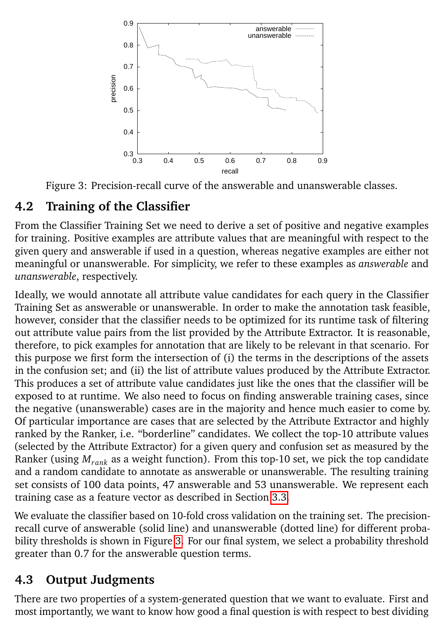<span id="page-11-0"></span>

Figure 3: Precision-recall curve of the answerable and unanswerable classes.

## **4.2 Training of the Classifier**

From the Classifier Training Set we need to derive a set of positive and negative examples for training. Positive examples are attribute values that are meaningful with respect to the given query and answerable if used in a question, whereas negative examples are either not meaningful or unanswerable. For simplicity, we refer to these examples as *answerable* and *unanswerable*, respectively.

Ideally, we would annotate all attribute value candidates for each query in the Classifier Training Set as answerable or unanswerable. In order to make the annotation task feasible, however, consider that the classifier needs to be optimized for its runtime task of filtering out attribute value pairs from the list provided by the Attribute Extractor. It is reasonable, therefore, to pick examples for annotation that are likely to be relevant in that scenario. For this purpose we first form the intersection of (i) the terms in the descriptions of the assets in the confusion set; and (ii) the list of attribute values produced by the Attribute Extractor. This produces a set of attribute value candidates just like the ones that the classifier will be exposed to at runtime. We also need to focus on finding answerable training cases, since the negative (unanswerable) cases are in the majority and hence much easier to come by. Of particular importance are cases that are selected by the Attribute Extractor and highly ranked by the Ranker, i.e. "borderline" candidates. We collect the top-10 attribute values (selected by the Attribute Extractor) for a given query and confusion set as measured by the Ranker (using *Mrank* as a weight function). From this top-10 set, we pick the top candidate and a random candidate to annotate as answerable or unanswerable. The resulting training set consists of 100 data points, 47 answerable and 53 unanswerable. We represent each training case as a feature vector as described in Section [3.3.](#page-8-2)

We evaluate the classifier based on 10-fold cross validation on the training set. The precisionrecall curve of answerable (solid line) and unanswerable (dotted line) for different probability thresholds is shown in Figure [3.](#page-11-0) For our final system, we select a probability threshold greater than 0.7 for the answerable question terms.

# **4.3 Output Judgments**

There are two properties of a system-generated question that we want to evaluate. First and most importantly, we want to know how good a final question is with respect to best dividing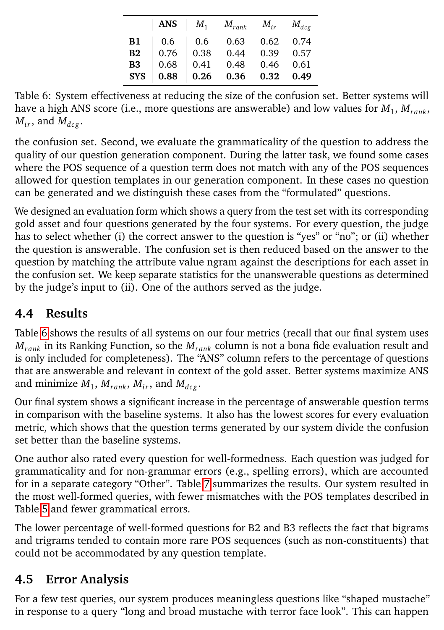<span id="page-12-0"></span>

|  | ANS $\parallel M_1 \parallel M_{rank} \parallel M_{ir} \parallel M_{deg}$                                                                                                                                                                               |  |
|--|---------------------------------------------------------------------------------------------------------------------------------------------------------------------------------------------------------------------------------------------------------|--|
|  |                                                                                                                                                                                                                                                         |  |
|  |                                                                                                                                                                                                                                                         |  |
|  |                                                                                                                                                                                                                                                         |  |
|  | $\begin{tabular}{l cccc} \bf{B1} & 0.6 & 0.6 & 0.63 & 0.62 & 0.74 \\ \bf{B2} & 0.76 & 0.38 & 0.44 & 0.39 & 0.57 \\ \bf{B3} & 0.68 & 0.41 & 0.48 & 0.46 & 0.61 \\ \bf{SYS} & \bf{0.88} & \bf{0.26} & \bf{0.36} & \bf{0.32} & \bf{0.49} \\ \end{tabular}$ |  |

Table 6: System effectiveness at reducing the size of the confusion set. Better systems will have a high ANS score (i.e., more questions are answerable) and low values for *M*<sup>1</sup> , *Mrank*,  $M_{ir}$ , and  $M_{dec}$ .

the confusion set. Second, we evaluate the grammaticality of the question to address the quality of our question generation component. During the latter task, we found some cases where the POS sequence of a question term does not match with any of the POS sequences allowed for question templates in our generation component. In these cases no question can be generated and we distinguish these cases from the "formulated" questions.

We designed an evaluation form which shows a query from the test set with its corresponding gold asset and four questions generated by the four systems. For every question, the judge has to select whether (i) the correct answer to the question is "yes" or "no"; or (ii) whether the question is answerable. The confusion set is then reduced based on the answer to the question by matching the attribute value ngram against the descriptions for each asset in the confusion set. We keep separate statistics for the unanswerable questions as determined by the judge's input to (ii). One of the authors served as the judge.

## **4.4 Results**

Table [6](#page-12-0) shows the results of all systems on our four metrics (recall that our final system uses *Mrank* in its Ranking Function, so the *Mrank* column is not a bona fide evaluation result and is only included for completeness). The "ANS" column refers to the percentage of questions that are answerable and relevant in context of the gold asset. Better systems maximize ANS and minimize  $M_1$ ,  $M_{rank}$ ,  $M_{ir}$ , and  $M_{deg}$ .

Our final system shows a significant increase in the percentage of answerable question terms in comparison with the baseline systems. It also has the lowest scores for every evaluation metric, which shows that the question terms generated by our system divide the confusion set better than the baseline systems.

One author also rated every question for well-formedness. Each question was judged for grammaticality and for non-grammar errors (e.g., spelling errors), which are accounted for in a separate category "Other". Table [7](#page-13-1) summarizes the results. Our system resulted in the most well-formed queries, with fewer mismatches with the POS templates described in Table [5](#page-10-1) and fewer grammatical errors.

The lower percentage of well-formed questions for B2 and B3 reflects the fact that bigrams and trigrams tended to contain more rare POS sequences (such as non-constituents) that could not be accommodated by any question template.

## **4.5 Error Analysis**

For a few test queries, our system produces meaningless questions like "shaped mustache" in response to a query "long and broad mustache with terror face look". This can happen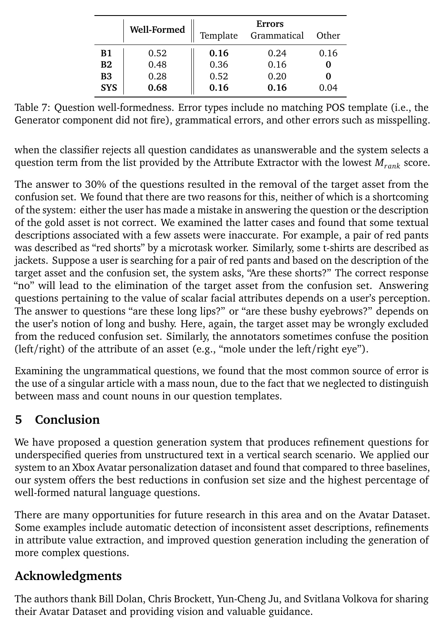<span id="page-13-1"></span>

|            | Well-Formed | Template | <b>Errors</b><br>Grammatical | Other |
|------------|-------------|----------|------------------------------|-------|
| Β1         | 0.52        | 0.16     | 0.24                         | 0.16  |
| B2         | 0.48        | 0.36     | 0.16                         |       |
| <b>B3</b>  | 0.28        | 0.52     | 0.20                         |       |
| <b>SYS</b> | 0.68        | 0.16     | 0.16                         | 0.04  |

Table 7: Question well-formedness. Error types include no matching POS template (i.e., the Generator component did not fire), grammatical errors, and other errors such as misspelling.

when the classifier rejects all question candidates as unanswerable and the system selects a question term from the list provided by the Attribute Extractor with the lowest *Mrank* score.

The answer to 30% of the questions resulted in the removal of the target asset from the confusion set. We found that there are two reasons for this, neither of which is a shortcoming of the system: either the user has made a mistake in answering the question or the description of the gold asset is not correct. We examined the latter cases and found that some textual descriptions associated with a few assets were inaccurate. For example, a pair of red pants was described as "red shorts" by a microtask worker. Similarly, some t-shirts are described as jackets. Suppose a user is searching for a pair of red pants and based on the description of the target asset and the confusion set, the system asks, "Are these shorts?" The correct response "no" will lead to the elimination of the target asset from the confusion set. Answering questions pertaining to the value of scalar facial attributes depends on a user's perception. The answer to questions "are these long lips?" or "are these bushy eyebrows?" depends on the user's notion of long and bushy. Here, again, the target asset may be wrongly excluded from the reduced confusion set. Similarly, the annotators sometimes confuse the position (left/right) of the attribute of an asset (e.g., "mole under the left/right eye").

Examining the ungrammatical questions, we found that the most common source of error is the use of a singular article with a mass noun, due to the fact that we neglected to distinguish between mass and count nouns in our question templates.

## <span id="page-13-0"></span>**5 Conclusion**

We have proposed a question generation system that produces refinement questions for underspecified queries from unstructured text in a vertical search scenario. We applied our system to an Xbox Avatar personalization dataset and found that compared to three baselines, our system offers the best reductions in confusion set size and the highest percentage of well-formed natural language questions.

There are many opportunities for future research in this area and on the Avatar Dataset. Some examples include automatic detection of inconsistent asset descriptions, refinements in attribute value extraction, and improved question generation including the generation of more complex questions.

## **Acknowledgments**

The authors thank Bill Dolan, Chris Brockett, Yun-Cheng Ju, and Svitlana Volkova for sharing their Avatar Dataset and providing vision and valuable guidance.